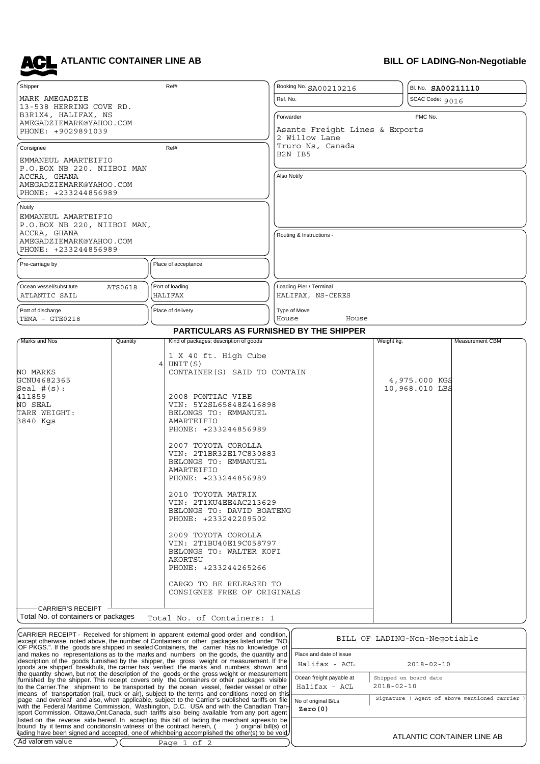**ATLANTIC CONTAINER LINE AB** 

## **BILL OF LADING-Non-Negotiable**

| Shipper                                            |                         |    | Ref#                                                                                                                                                                                  | Booking No. SA00210216                          |                      | BI. No. SA00211110              |                 |  |
|----------------------------------------------------|-------------------------|----|---------------------------------------------------------------------------------------------------------------------------------------------------------------------------------------|-------------------------------------------------|----------------------|---------------------------------|-----------------|--|
| MARK AMEGADZIE                                     |                         |    |                                                                                                                                                                                       | Ref. No.                                        | SCAC Code: 9016      |                                 |                 |  |
| 13-538 HERRING COVE RD.<br>B3R1X4, HALIFAX, NS     |                         |    |                                                                                                                                                                                       |                                                 |                      |                                 |                 |  |
|                                                    | AMEGADZIEMARK@YAHOO.COM |    |                                                                                                                                                                                       |                                                 | Forwarder<br>FMC No. |                                 |                 |  |
| PHONE: +9029891039                                 |                         |    |                                                                                                                                                                                       | Asante Freight Lines & Exports<br>2 Willow Lane |                      |                                 |                 |  |
| Consignee                                          |                         |    | Ref#                                                                                                                                                                                  | Truro Ns, Canada                                |                      |                                 |                 |  |
| EMMANEUL AMARTEIFIO                                |                         |    |                                                                                                                                                                                       | B2N IB5                                         |                      |                                 |                 |  |
| P.O.BOX NB 220. NIIBOI MAN<br>ACCRA, GHANA         |                         |    |                                                                                                                                                                                       | Also Notify                                     |                      |                                 |                 |  |
| AMEGADZIEMARK@YAHOO.COM                            |                         |    |                                                                                                                                                                                       |                                                 |                      |                                 |                 |  |
| PHONE: +233244856989                               |                         |    |                                                                                                                                                                                       |                                                 |                      |                                 |                 |  |
| Notify                                             |                         |    |                                                                                                                                                                                       |                                                 |                      |                                 |                 |  |
| EMMANEUL AMARTEIFIO<br>P.O.BOX NB 220, NIIBOI MAN, |                         |    |                                                                                                                                                                                       |                                                 |                      |                                 |                 |  |
| ACCRA, GHANA                                       |                         |    |                                                                                                                                                                                       | Routing & Instructions -                        |                      |                                 |                 |  |
| AMEGADZIEMARK@YAHOO.COM<br>PHONE: +233244856989    |                         |    |                                                                                                                                                                                       |                                                 |                      |                                 |                 |  |
|                                                    |                         |    |                                                                                                                                                                                       |                                                 |                      |                                 |                 |  |
| Pre-carriage by                                    |                         |    | Place of acceptance                                                                                                                                                                   |                                                 |                      |                                 |                 |  |
|                                                    |                         |    |                                                                                                                                                                                       |                                                 |                      |                                 |                 |  |
| Ocean vessel/substitute<br>ATLANTIC SAIL           | ATS0618                 |    | Port of loading<br><b>HALIFAX</b>                                                                                                                                                     | Loading Pier / Terminal<br>HALIFAX, NS-CERES    |                      |                                 |                 |  |
| Port of discharge                                  |                         |    |                                                                                                                                                                                       |                                                 |                      |                                 |                 |  |
| TEMA - GTE0218                                     |                         |    | Place of delivery<br>Type of Move<br>House<br>House                                                                                                                                   |                                                 |                      |                                 |                 |  |
|                                                    |                         |    | <b>PARTICULARS AS FURNISHED BY THE SHIPPER</b>                                                                                                                                        |                                                 |                      |                                 |                 |  |
| Marks and Nos                                      | Quantity                |    | Kind of packages; description of goods                                                                                                                                                |                                                 | Weight kg.           |                                 | Measurement CBM |  |
|                                                    |                         | 41 | 1 X 40 ft. High Cube<br>UNIT(S)                                                                                                                                                       |                                                 |                      |                                 |                 |  |
| NO MARKS                                           |                         |    | CONTAINER (S) SAID TO CONTAIN                                                                                                                                                         |                                                 |                      |                                 |                 |  |
| GCNU4682365<br>$\texttt{Seal}$ #(s):               |                         |    |                                                                                                                                                                                       |                                                 |                      | 4,975.000 KGS<br>10,968.010 LBS |                 |  |
| 411859                                             |                         |    | 2008 PONTIAC VIBE                                                                                                                                                                     |                                                 |                      |                                 |                 |  |
| NO SEAL<br>TARE WEIGHT:                            |                         |    | VIN: 5Y2SL65848Z416898<br>BELONGS TO: EMMANUEL                                                                                                                                        |                                                 |                      |                                 |                 |  |
| 3840 Kgs                                           |                         |    | AMARTEIFIO<br>PHONE: +233244856989                                                                                                                                                    |                                                 |                      |                                 |                 |  |
|                                                    |                         |    | 2007 TOYOTA COROLLA                                                                                                                                                                   |                                                 |                      |                                 |                 |  |
|                                                    |                         |    | VIN: 2T1BR32E17C830883                                                                                                                                                                |                                                 |                      |                                 |                 |  |
|                                                    |                         |    | BELONGS TO: EMMANUEL<br>AMARTEIFIO                                                                                                                                                    |                                                 |                      |                                 |                 |  |
|                                                    |                         |    | PHONE: +233244856989                                                                                                                                                                  |                                                 |                      |                                 |                 |  |
|                                                    |                         |    | 2010 TOYOTA MATRIX                                                                                                                                                                    |                                                 |                      |                                 |                 |  |
|                                                    |                         |    | VIN: 2T1KU4EE4AC213629                                                                                                                                                                |                                                 |                      |                                 |                 |  |
|                                                    |                         |    | BELONGS TO: DAVID BOATENG<br>PHONE: +233242209502                                                                                                                                     |                                                 |                      |                                 |                 |  |
|                                                    |                         |    |                                                                                                                                                                                       |                                                 |                      |                                 |                 |  |
|                                                    |                         |    | 2009 TOYOTA COROLLA<br>VIN: 2T1BU40E19C058797                                                                                                                                         |                                                 |                      |                                 |                 |  |
|                                                    |                         |    | BELONGS TO: WALTER KOFI                                                                                                                                                               |                                                 |                      |                                 |                 |  |
|                                                    |                         |    | AKORTSU                                                                                                                                                                               |                                                 |                      |                                 |                 |  |
|                                                    |                         |    | PHONE: +233244265266                                                                                                                                                                  |                                                 |                      |                                 |                 |  |
|                                                    |                         |    | CARGO TO BE RELEASED TO                                                                                                                                                               |                                                 |                      |                                 |                 |  |
|                                                    |                         |    | CONSIGNEE FREE OF ORIGINALS                                                                                                                                                           |                                                 |                      |                                 |                 |  |
| CARRIER'S RECEIPT                                  |                         |    |                                                                                                                                                                                       |                                                 |                      |                                 |                 |  |
| Total No. of containers or packages                |                         |    | Total No. of Containers: 1                                                                                                                                                            |                                                 |                      |                                 |                 |  |
|                                                    |                         |    | CARRIER RECEIPT - Received for shipment in apparent external good order and condition,<br> except otherwise noted above, the number of Containers or other packages listed under "NO. |                                                 |                      | BILL OF LADING-Non-Negotiable   |                 |  |
|                                                    |                         |    | OF PKGS.". If the goods are shipped in sealed Containers, the carrier has no knowledge of                                                                                             |                                                 |                      |                                 |                 |  |
|                                                    |                         |    | and makes no representations as to the marks and numbers on the goods, the quantity and<br>description of the goods furnished by the shipper, the gross weight or measurement. If the | Place and date of issue<br>Halifax - ACL        |                      | $2018 - 02 - 10$                |                 |  |
|                                                    |                         |    | goods are shipped breakbulk, the carrier has verified the marks and numbers shown and<br>the quantity shown, but not the description of the goods or the gross weight or measurement  |                                                 |                      |                                 |                 |  |
|                                                    |                         |    | furnished by the shinner. This receipt, covers only the Containers or other nackages visible                                                                                          | Ocean freight payable at                        |                      | Shipped on board date           |                 |  |

| description of the goods furnished by the shipper, the gross weight or measurement. If the   <br>goods are shipped breakbulk, the carrier has verified the marks and numbers shown and                                              | Halifax - ACL            | $2018 - 02 - 10$                                                                         |
|-------------------------------------------------------------------------------------------------------------------------------------------------------------------------------------------------------------------------------------|--------------------------|------------------------------------------------------------------------------------------|
| the quantity shown, but not the description of the goods or the gross weight or measurement  <br>furnished by the shipper. This receipt covers only the Containers or other packages visible                                        | Ocean freight payable at | Shipped on board date                                                                    |
| to the Carrier.The $\,$ shipment to $\,$ be transported by the ocean $\,$ vessel, feeder vessel or other $\,$ Halifax - ACL $\,$<br>means of transportation (rail, truck or air), subject to the terms and conditions noted on this |                          | $2018 - 02 - 10$                                                                         |
| page and overleaf and also, when applicable, subject to the Carrier's published tariffs on file    No of original B/Ls                                                                                                              |                          | Signature ( Agent of above mentioned carrier                                             |
| with the Federal Maritime Commission, Washington, D.C. USA and with the Canadian Tran-II<br>sport Commission, Ottawa,Ont.Canada, such tariffs also being available from any port agent                                              | Zero(0)                  |                                                                                          |
| listed on the reverse side hereof. In accepting this bill of lading the merchant agrees to be                                                                                                                                       |                          |                                                                                          |
| bound by it terms and conditionsln witness of the contract herein, (<br>original bill(s) of II                                                                                                                                      |                          |                                                                                          |
| lading have been signed and accepted, one of whichbeing accomplished the other(s) to be void/                                                                                                                                       |                          | $\lambda$ TI $\lambda$ $\lambda$ ITIO OO $\lambda$ IT $\lambda$ INIED I INIE $\lambda$ D |

Page 1 of 2

∋

Ad valorem value

| ATLANTIC CONTAINER LINE AB |  |  |  |
|----------------------------|--|--|--|
|----------------------------|--|--|--|